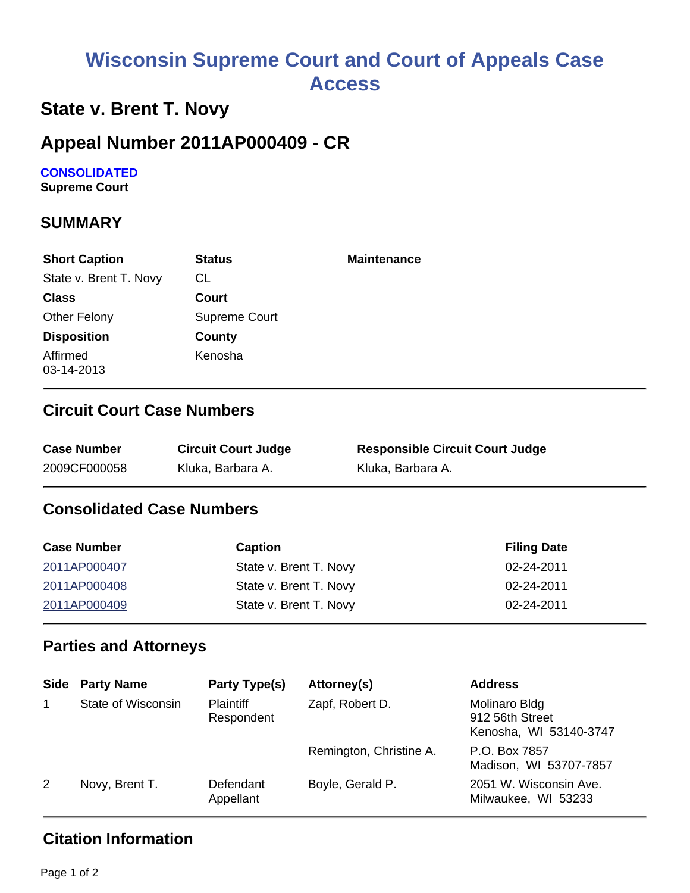# **Wisconsin Supreme Court and Court of Appeals Case Access**

# **State v. Brent T. Novy**

### **Appeal Number 2011AP000409 - CR**

# **CONSOLIDATED**

**Supreme Court** 

### **SUMMARY**

| <b>Short Caption</b>   | <b>Status</b> | <b>Maintenance</b> |
|------------------------|---------------|--------------------|
| State v. Brent T. Novy | CL            |                    |
| <b>Class</b>           | Court         |                    |
| Other Felony           | Supreme Court |                    |
| <b>Disposition</b>     | County        |                    |
| Affirmed<br>03-14-2013 | Kenosha       |                    |

#### **Circuit Court Case Numbers**

| <b>Case Number</b> | <b>Circuit Court Judge</b> | <b>Responsible Circuit Court Judge</b> |
|--------------------|----------------------------|----------------------------------------|
| 2009CF000058       | Kluka, Barbara A.          | Kluka, Barbara A.                      |

### **Consolidated Case Numbers**

| <b>Case Number</b> | <b>Caption</b>         | <b>Filing Date</b> |
|--------------------|------------------------|--------------------|
| 2011AP000407       | State v. Brent T. Novy | 02-24-2011         |
| 2011AP000408       | State v. Brent T. Novy | 02-24-2011         |
| 2011AP000409       | State v. Brent T. Novy | 02-24-2011         |

#### **Parties and Attorneys**

| Side | <b>Party Name</b>  | Party Type(s)                  | Attorney(s)             | <b>Address</b>                                             |
|------|--------------------|--------------------------------|-------------------------|------------------------------------------------------------|
|      | State of Wisconsin | <b>Plaintiff</b><br>Respondent | Zapf, Robert D.         | Molinaro Bldg<br>912 56th Street<br>Kenosha, WI 53140-3747 |
|      |                    |                                | Remington, Christine A. | P.O. Box 7857<br>Madison, WI 53707-7857                    |
| 2    | Novy, Brent T.     | Defendant<br>Appellant         | Boyle, Gerald P.        | 2051 W. Wisconsin Ave.<br>Milwaukee, WI 53233              |

### **Citation Information**

Page 1 of 2